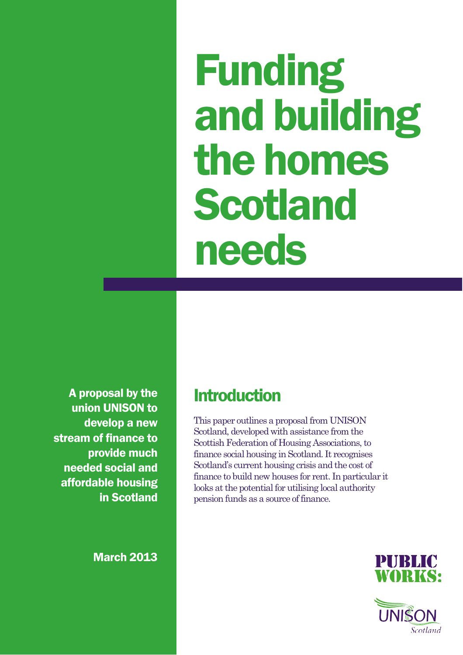Funding and building the homes Scotland needs

A proposal by the union UNISON to develop a new stream of finance to provide much needed social and affordable housing in Scotland

March 2013

### **Introduction**

This paper outlines a proposal from UNISON Scotland, developed with assistance from the Scottish Federation of Housing Associations, to finance social housing in Scotland. It recognises Scotland's current housing crisis and the cost of finance to build new houses for rent. In particular it looks at the potential for utilising local authority pension funds as a source of finance.



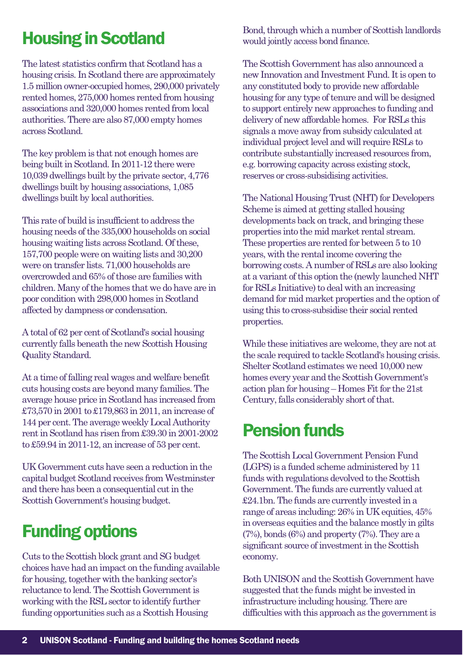# Housing in Scotland

The latest statistics confirm that Scotland has a housing crisis. In Scotland there are approximately 1.5 million owner-occupied homes, 290,000 privately rented homes, 275,000 homes rented from housing associations and 320,000 homes rented from local authorities. There are also 87,000 empty homes across Scotland.

The key problem is that not enough homes are being built in Scotland. In 2011-12 there were 10,039 dwellings built by the private sector, 4,776 dwellings built by housing associations, 1,085 dwellings built by local authorities.

This rate of build is insufficient to address the housing needs of the 335,000 households on social housing waiting lists across Scotland. Of these, 157,700 people were on waiting lists and 30,200 were on transfer lists. 71,000 households are overcrowded and 65% of those are families with children. Many of the homes that we do have are in poor condition with 298,000 homes in Scotland affected by dampness or condensation.

A total of 62 per cent of Scotland's social housing currently falls beneath the new Scottish Housing Quality Standard.

At a time of falling real wages and welfare benefit cuts housing costs are beyond many families. The average house price in Scotland has increased from £73,570 in 2001 to £179,863 in 2011, an increase of 144 per cent. The average weekly Local Authority rent in Scotland has risen from £39.30 in 2001-2002 to £59.94 in 2011-12, an increase of 53 per cent.

UK Government cuts have seen a reduction in the capital budget Scotland receives from Westminster and there has been a consequential cut in the Scottish Government's housing budget.

# Funding options

Cuts to the Scottish block grant and SG budget choices have had an impact on the funding available for housing, together with the banking sector's reluctance to lend. The Scottish Government is working with the RSL sector to identify further funding opportunities such as a Scottish Housing

Bond, through which a number of Scottish landlords would jointly access bond finance.

The Scottish Government has also announced a new Innovation and Investment Fund. It is open to any constituted body to provide new affordable housing for any type of tenure and will be designed to support entirely new approaches to funding and delivery of new affordable homes. For RSLs this signals a move away from subsidy calculated at individual project level and will require RSLs to contribute substantially increased resources from, e.g. borrowing capacity across existing stock, reserves or cross-subsidising activities.

The National Housing Trust (NHT) for Developers Scheme is aimed at getting stalled housing developments back on track, and bringing these properties into the mid market rental stream. These properties are rented for between 5 to 10 years, with the rental income covering the borrowing costs. A number of RSLs are also looking at a variant of this option the (newly launched NHT for RSLs Initiative) to deal with an increasing demand for mid market properties and the option of using this to cross-subsidise their social rented properties.

While these initiatives are welcome, they are not at the scale required to tackle Scotland's housing crisis. Shelter Scotland estimates we need 10,000 new homes every year and the Scottish Government's action plan for housing – Homes Fit for the 21st Century, falls considerably short of that.

## Pension funds

The Scottish Local Government Pension Fund (LGPS) is a funded scheme administered by 11 funds with regulations devolved to the Scottish Government. The funds are currently valued at £24.1bn. The funds are currently invested in a range of areas including: 26% in UK equities, 45% in overseas equities and the balance mostly in gilts (7%), bonds (6%) and property (7%). They are a significant source of investment in the Scottish economy.

Both UNISON and the Scottish Government have suggested that the funds might be invested in infrastructure including housing. There are difficulties with this approach as the government is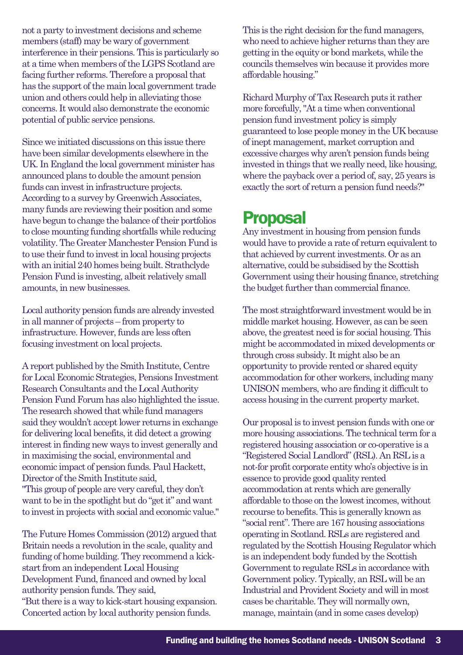not a party to investment decisions and scheme members (staff) may be wary of government interference in their pensions. This is particularly so at a time when members of the LGPS Scotland are facing further reforms. Therefore a proposal that has the support of the main local government trade union and others could help in alleviating those concerns. It would also demonstrate the economic potential of public service pensions.

Since we initiated discussions on this issue there have been similar developments elsewhere in the UK. In England the local government minister has announced plans to double the amount pension funds can invest in infrastructure projects. According to a survey by Greenwich Associates, many funds are reviewing their position and some have begun to change the balance of their portfolios to close mounting funding shortfalls while reducing volatility. The Greater Manchester Pension Fund is to use their fund to invest in local housing projects with an initial 240 homes being built. Strathclyde Pension Fund is investing, albeit relatively small amounts, in new businesses.

Local authority pension funds are already invested in all manner of projects – from property to infrastructure. However, funds are less often focusing investment on local projects.

A report published by the Smith Institute, Centre for Local Economic Strategies, Pensions Investment Research Consultants and the Local Authority Pension Fund Forum has also highlighted the issue. The research showed that while fund managers said they wouldn't accept lower returns in exchange for delivering local benefits, it did detect a growing interest in finding new ways to invest generally and in maximising the social, environmental and economic impact of pension funds. Paul Hackett, Director of the Smith Institute said, "This group of people are very careful, they don't want to be in the spotlight but do "get it" and want to invest in projects with social and economic value."

The Future Homes Commission (2012) argued that Britain needs a revolution in the scale, quality and funding of home building. They recommend a kickstart from an independent Local Housing Development Fund, financed and owned by local authority pension funds. They said, "But there is a way to kick-start housing expansion. Concerted action by local authority pension funds.

This is the right decision for the fund managers, who need to achieve higher returns than they are getting in the equity or bond markets, while the councils themselves win because it provides more affordable housing."

Richard Murphy of Tax Research puts it rather more forcefully, "At a time when conventional pension fund investment policy is simply guaranteed to lose people money in the UK because of inept management, market corruption and excessive charges why aren't pension funds being invested in things that we really need, like housing, where the payback over a period of, say, 25 years is exactly the sort of return a pension fund needs?"

### Proposal

Any investment in housing from pension funds would have to provide a rate of return equivalent to that achieved by current investments. Or as an alternative, could be subsidised by the Scottish Government using their housing finance, stretching the budget further than commercial finance.

The most straightforward investment would be in middle market housing. However, as can be seen above, the greatest need is for social housing. This might be accommodated in mixed developments or through cross subsidy. It might also be an opportunity to provide rented or shared equity accommodation for other workers, including many UNISON members, who are finding it difficult to access housing in the current property market.

Our proposal is to invest pension funds with one or more housing associations. The technical term for a registered housing association or co-operative is a "Registered Social Landlord" (RSL). An RSL is a not-for profit corporate entity who's objective is in essence to provide good quality rented accommodation at rents which are generally affordable to those on the lowest incomes, without recourse to benefits. This is generally known as "social rent". There are 167 housing associations operating in Scotland. RSLs are registered and regulated by the Scottish Housing Regulator which is an independent body funded by the Scottish Government to regulate RSLs in accordance with Government policy. Typically, an RSL will be an Industrial and Provident Society and will in most cases be charitable. They will normally own, manage, maintain (and in some cases develop)